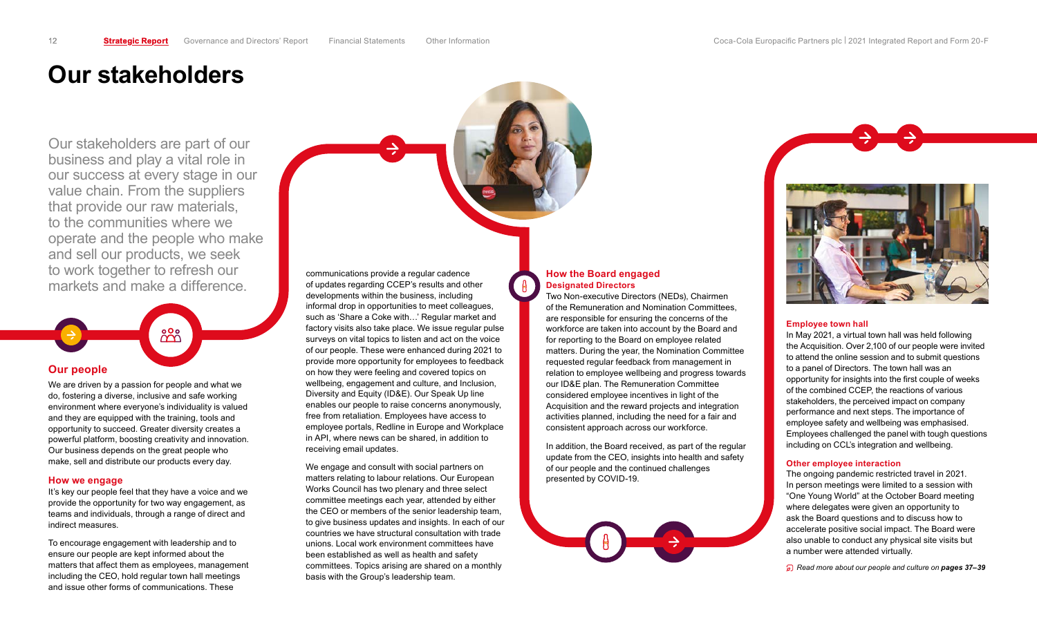## <span id="page-0-0"></span>**Our stakeholders**

Our stakeholders are part of our business and play a vital role in our success at every stage in our value chain. From the suppliers that provide our raw materials, to the communities where we operate and the people who make and sell our products, we seek to work together to refresh our markets and make a difference.

# $88$ **Our people**

We are driven by a passion for people and what we do, fostering a diverse, inclusive and safe working environment where everyone's individuality is valued and they are equipped with the training, tools and opportunity to succeed. Greater diversity creates a powerful platform, boosting creativity and innovation. Our business depends on the great people who make, sell and distribute our products every day.

#### **How we engage**

It's key our people feel that they have a voice and we provide the opportunity for two way engagement, as teams and individuals, through a range of direct and indirect measures.

To encourage engagement with leadership and to ensure our people are kept informed about the matters that affect them as employees, management including the CEO, hold regular town hall meetings and issue other forms of communications. These

communications provide a regular cadence of updates regarding CCEP's results and other developments within the business, including informal drop in opportunities to meet colleagues, such as 'Share a Coke with…' Regular market and factory visits also take place. We issue regular pulse surveys on vital topics to listen and act on the voice of our people. These were enhanced during 2021 to provide more opportunity for employees to feedback on how they were feeling and covered topics on wellbeing, engagement and culture, and Inclusion, Diversity and Equity (ID&E). Our Speak Up line enables our people to raise concerns anonymously, free from retaliation. Employees have access to employee portals, Redline in Europe and Workplace in API, where news can be shared, in addition to receiving email updates.

We engage and consult with social partners on matters relating to labour relations. Our European Works Council has two plenary and three select committee meetings each year, attended by either the CEO or members of the senior leadership team, to give business updates and insights. In each of our countries we have structural consultation with trade unions. Local work environment committees have been established as well as health and safety committees. Topics arising are shared on a monthly basis with the Group's leadership team.

#### **How the Board engaged Designated Directors**

Two Non-executive Directors (NEDs), Chairmen of the Remuneration and Nomination Committees, are responsible for ensuring the concerns of the workforce are taken into account by the Board and for reporting to the Board on employee related matters. During the year, the Nomination Committee requested regular feedback from management in relation to employee wellbeing and progress towards our ID&E plan. The Remuneration Committee considered employee incentives in light of the Acquisition and the reward projects and integration activities planned, including the need for a fair and consistent approach across our workforce.

In addition, the Board received, as part of the regular update from the CEO, insights into health and safety of our people and the continued challenges presented by COVID-19.





#### **Employee town hall**

In May 2021, a virtual town hall was held following the Acquisition. Over 2,100 of our people were invited to attend the online session and to submit questions to a panel of Directors. The town hall was an opportunity for insights into the first couple of weeks of the combined CCEP, the reactions of various stakeholders, the perceived impact on company performance and next steps. The importance of employee safety and wellbeing was emphasised. Employees challenged the panel with tough questions including on CCL's integration and wellbeing.

#### **Other employee interaction**

The ongoing pandemic restricted travel in 2021. In person meetings were limited to a session with "One Young World" at the October Board meeting where delegates were given an opportunity to ask the Board questions and to discuss how to accelerate positive social impact. The Board were also unable to conduct any physical site visits but a number were attended virtually.

*Read more about our people and culture on pages 37–39*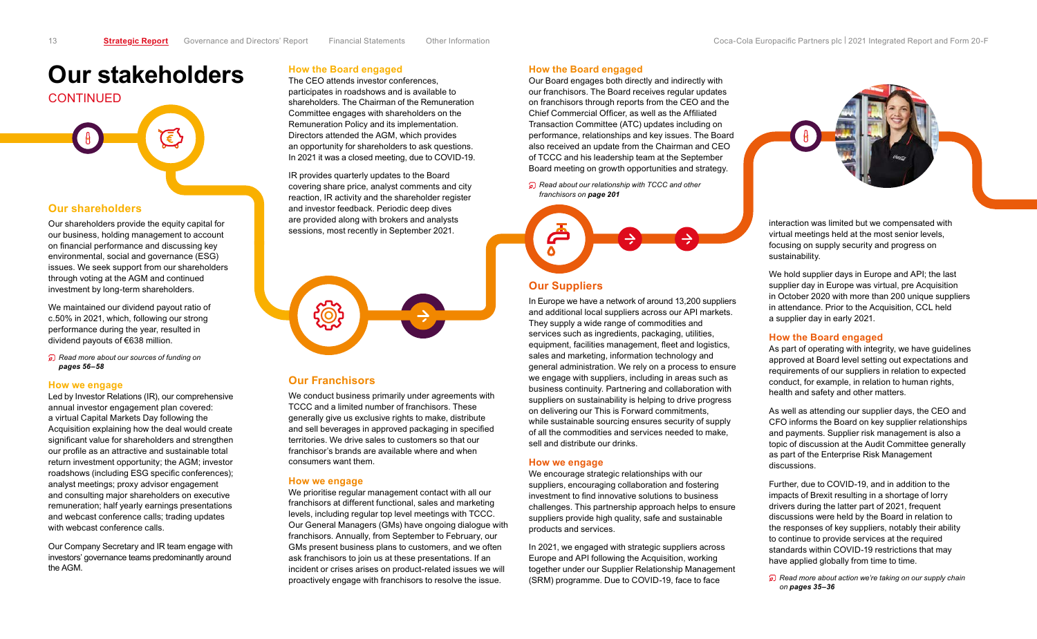# **Our stakeholders**

# **CONTINUED** €'  $\theta$

#### **Our shareholders**

Our shareholders provide the equity capital for our business, holding management to account on financial performance and discussing key environmental, social and governance (ESG) issues. We seek support from our shareholders through voting at the AGM and continued investment by long-term shareholders.

We maintained our dividend payout ratio of c.50% in 2021, which, following our strong performance during the year, resulted in dividend payouts of €638 million.

*Read more about our sources of funding on pages 56–58*

#### **How we engage**

Led by Investor Relations (IR), our comprehensive annual investor engagement plan covered: a virtual Capital Markets Day following the Acquisition explaining how the deal would create significant value for shareholders and strengthen our profile as an attractive and sustainable total return investment opportunity; the AGM; investor roadshows (including ESG specific conferences); analyst meetings; proxy advisor engagement and consulting major shareholders on executive remuneration; half yearly earnings presentations and webcast conference calls; trading updates with webcast conference calls.

Our Company Secretary and IR team engage with investors' governance teams predominantly around the AGM.

#### **How the Board engaged**

The CEO attends investor conferences, participates in roadshows and is available to shareholders. The Chairman of the Remuneration Committee engages with shareholders on the Remuneration Policy and its implementation. Directors attended the AGM, which provides an opportunity for shareholders to ask questions. In 2021 it was a closed meeting, due to COVID-19.

IR provides quarterly updates to the Board covering share price, analyst comments and city reaction, IR activity and the shareholder register and investor feedback. Periodic deep dives are provided along with brokers and analysts sessions, most recently in September 2021.



#### **Our Franchisors**

We conduct business primarily under agreements with TCCC and a limited number of franchisors. These generally give us exclusive rights to make, distribute and sell beverages in approved packaging in specified territories. We drive sales to customers so that our franchisor's brands are available where and when consumers want them.

#### **How we engage**

We prioritise regular management contact with all our franchisors at different functional, sales and marketing levels, including regular top level meetings with TCCC. Our General Managers (GMs) have ongoing dialogue with franchisors. Annually, from September to February, our GMs present business plans to customers, and we often ask franchisors to join us at these presentations. If an incident or crises arises on product-related issues we will proactively engage with franchisors to resolve the issue.

#### **How the Board engaged**

Our Board engages both directly and indirectly with our franchisors. The Board receives regular updates on franchisors through reports from the CEO and the Chief Commercial Officer, as well as the Affiliated Transaction Committee (ATC) updates including on performance, relationships and key issues. The Board also received an update from the Chairman and CEO of TCCC and his leadership team at the September Board meeting on growth opportunities and strategy.

*Read about our relationship with TCCC and other franchisors on page 201*



### **Our Suppliers**

In Europe we have a network of around 13,200 suppliers and additional local suppliers across our API markets. They supply a wide range of commodities and services such as ingredients, packaging, utilities, equipment, facilities management, fleet and logistics, sales and marketing, information technology and general administration. We rely on a process to ensure we engage with suppliers, including in areas such as business continuity. Partnering and collaboration with suppliers on sustainability is helping to drive progress on delivering our This is Forward commitments, while sustainable sourcing ensures security of supply of all the commodities and services needed to make, sell and distribute our drinks.

#### **How we engage**

We encourage strategic relationships with our suppliers, encouraging collaboration and fostering investment to find innovative solutions to business challenges. This partnership approach helps to ensure suppliers provide high quality, safe and sustainable products and services.

In 2021, we engaged with strategic suppliers across Europe and API following the Acquisition, working together under our Supplier Relationship Management (SRM) programme. Due to COVID-19, face to face



interaction was limited but we compensated with virtual meetings held at the most senior levels, focusing on supply security and progress on sustainability.

We hold supplier days in Europe and API; the last supplier day in Europe was virtual, pre Acquisition in October 2020 with more than 200 unique suppliers in attendance. Prior to the Acquisition, CCL held a supplier day in early 2021.

#### **How the Board engaged**

As part of operating with integrity, we have guidelines approved at Board level setting out expectations and requirements of our suppliers in relation to expected conduct, for example, in relation to human rights, health and safety and other matters.

As well as attending our supplier days, the CEO and CFO informs the Board on key supplier relationships and payments. Supplier risk management is also a topic of discussion at the Audit Committee generally as part of the Enterprise Risk Management discussions.

Further, due to COVID-19, and in addition to the impacts of Brexit resulting in a shortage of lorry drivers during the latter part of 2021, frequent discussions were held by the Board in relation to the responses of key suppliers, notably their ability to continue to provide services at the required standards within COVID-19 restrictions that may have applied globally from time to time.

*Read more about action we're taking on our supply chain on pages 35–36*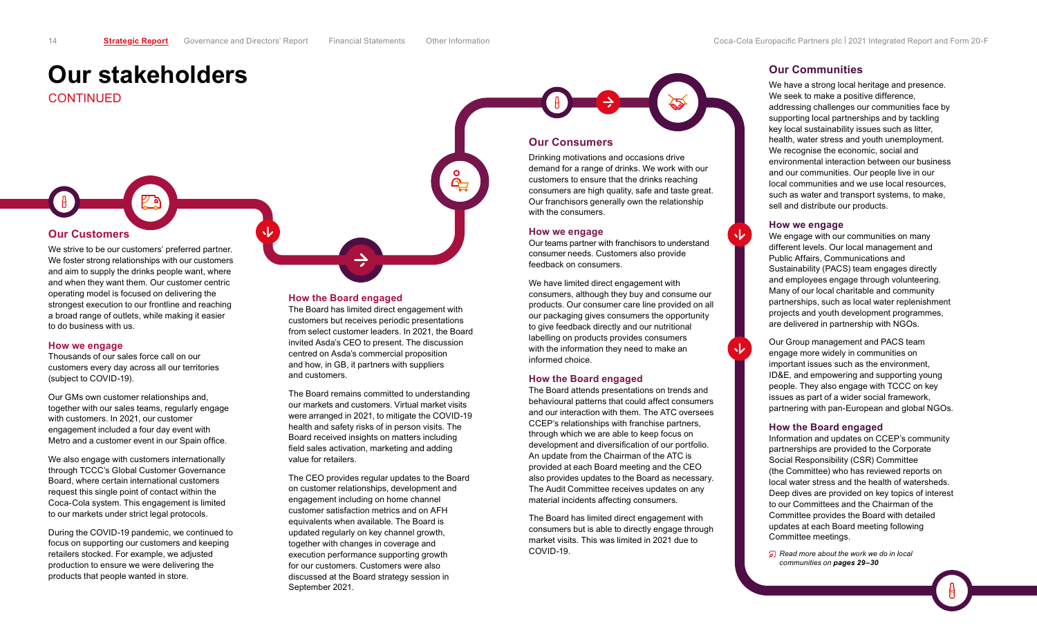<span id="page-2-0"></span>CONTINUED

We strive to be our customers' preferred partner. We foster strong relationships with our customers and aim to supply the drinks people want, where and when they want them. Our customer centric operating model is focused on delivering the strongest execution to our frontline and reaching a broad range of outlets, while making it easier to do business with us.

#### **How we engage**

Thousands of our sales force call on our customers every day across all our territories (subject to COVID-19).

Our GMs own customer relationships and, together with our sales teams, regularly engage with customers. In 2021, our customer engagement included a four day event with Metro and a customer event in our Spain office.

We also engage with customers internationally through TCCC's Global Customer Governance Board, where certain international customers request this single point of contact within the Coca-Cola system. This engagement is limited to our markets under strict legal protocols.

During the COVID-19 pandemic, we continued to focus on supporting our customers and keeping retailers stocked. For example, we adjusted production to ensure we were delivering the products that people wanted in store.

#### **How the Board engaged**

The Board has limited direct engagement with customers but receives periodic presentations from select customer leaders. In 2021, the Board invited Asda's CEO to present. The discussion centred on Asda's commercial proposition and how, in GB, it partners with suppliers and customers.



Drinking motivations and occasions drive demand for a range of drinks. We work with our customers to ensure that the drinks reaching consumers are high quality, safe and taste great. Our franchisors generally own the relationship with the consumers.

#### **How we engage**

Our teams partner with franchisors to understand consumer needs. Customers also provide feedback on consumers.

We have limited direct engagement with consumers, although they buy and consume our products. Our consumer care line provided on all our packaging gives consumers the opportunity to give feedback directly and our nutritional labelling on products provides consumers with the information they need to make an informed choice.

#### **How the Board engaged**

The Board attends presentations on trends and behavioural patterns that could affect consumers and our interaction with them. The ATC oversees CCEP's relationships with franchise partners, through which we are able to keep focus on development and diversification of our portfolio. An update from the Chairman of the ATC is provided at each Board meeting and the CEO also provides updates to the Board as necessary. The Audit Committee receives updates on any material incidents affecting consumers.

The Board has limited direct engagement with consumers but is able to directly engage through market visits. This was limited in 2021 due to COVID-19.

#### **Our Communities**

We have a strong local heritage and presence. We seek to make a positive difference, addressing challenges our communities face by supporting local partnerships and by tackling key local sustainability issues such as litter, health, water stress and youth unemployment. We recognise the economic, social and environmental interaction between our business and our communities. Our people live in our local communities and we use local resources, such as water and transport systems, to make, sell and distribute our products.

#### **How we engage**

We engage with our communities on many different levels. Our local management and Public Affairs, Communications and Sustainability (PACS) team engages directly and employees engage through volunteering. Many of our local charitable and community partnerships, such as local water replenishment projects and youth development programmes, are delivered in partnership with NGOs.

Our Group management and PACS team engage more widely in communities on important issues such as the environment, ID&E, and empowering and supporting young people. They also engage with TCCC on key issues as part of a wider social framework, partnering with pan-European and global NGOs.

#### **How the Board engaged**

Information and updates on CCEP's community partnerships are provided to the Corporate Social Responsibility (CSR) Committee (the Committee) who has reviewed reports on local water stress and the health of watersheds. Deep dives are provided on key topics of interest to our Committees and the Chairman of the Committee provides the Board with detailed updates at each Board meeting following Committee meetings.

*Read more about the work we do in local communities on pages 29–30*

The Board remains committed to understanding our markets and customers. Virtual market visits were arranged in 2021, to mitigate the COVID-19 health and safety risks of in person visits. The Board received insights on matters including field sales activation, marketing and adding value for retailers.

The CEO provides regular updates to the Board on customer relationships, development and engagement including on home channel customer satisfaction metrics and on AFH equivalents when available. The Board is updated regularly on key channel growth, together with changes in coverage and execution performance supporting growth for our customers. Customers were also discussed at the Board strategy session in September 2021.